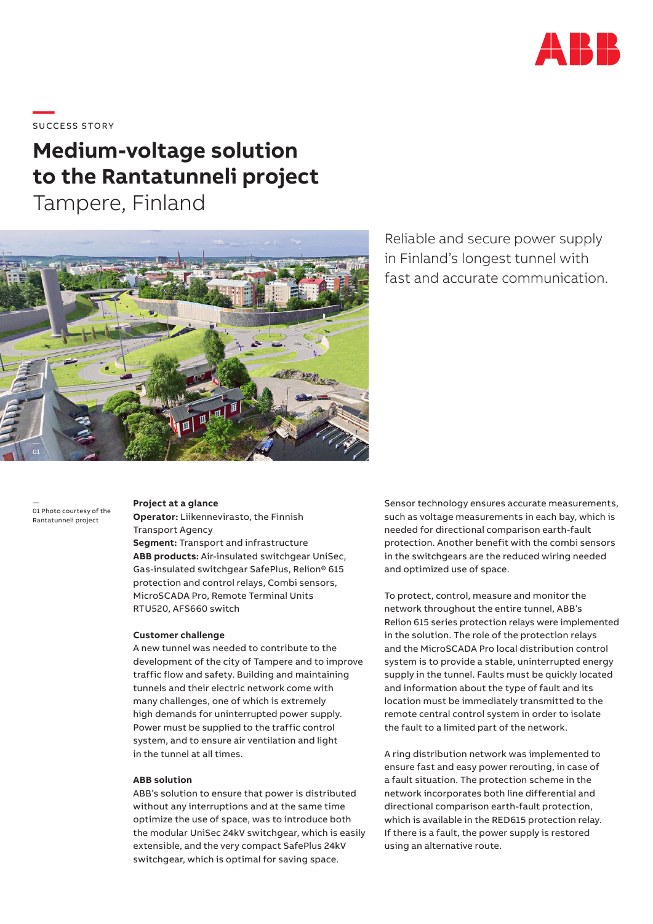

\_\_\_\_\_<br>SUCCESS STORY

# **Medium-voltage solution to the Rantatunneli project**

Tampere, Finland



Reliable and secure power supply in Finland's longest tunnel with fast and accurate communication.

— 01 Photo courtesy of the Rantatunneli project

#### **Project at a glance**

**Operator:** Liikennevirasto, the Finnish Transport Agency

**Segment:** Transport and infrastructure **ABB products:** Air-insulated switchgear UniSec, Gas-insulated switchgear SafePlus, Relion® 615 protection and control relays, Combi sensors, MicroSCADA Pro, Remote Terminal Units RTU520, AFS660 switch

#### **Customer challenge**

A new tunnel was needed to contribute to the development of the city of Tampere and to improve traffic flow and safety. Building and maintaining tunnels and their electric network come with many challenges, one of which is extremely high demands for uninterrupted power supply. Power must be supplied to the traffic control system, and to ensure air ventilation and light in the tunnel at all times.

#### **ABB solution**

ABB's solution to ensure that power is distributed without any interruptions and at the same time optimize the use of space, was to introduce both the modular UniSec 24kV switchgear, which is easily extensible, and the very compact SafePlus 24kV switchgear, which is optimal for saving space.

Sensor technology ensures accurate measurements, such as voltage measurements in each bay, which is needed for directional comparison earth-fault protection. Another benefit with the combi sensors in the switchgears are the reduced wiring needed and optimized use of space.

To protect, control, measure and monitor the network throughout the entire tunnel, ABB's Relion 615 series protection relays were implemented in the solution. The role of the protection relays and the MicroSCADA Pro local distribution control system is to provide a stable, uninterrupted energy supply in the tunnel. Faults must be quickly located and information about the type of fault and its location must be immediately transmitted to the remote central control system in order to isolate the fault to a limited part of the network.

A ring distribution network was implemented to ensure fast and easy power rerouting, in case of a fault situation. The protection scheme in the network incorporates both line differential and directional comparison earth-fault protection, which is available in the RED615 protection relay. If there is a fault, the power supply is restored using an alternative route.